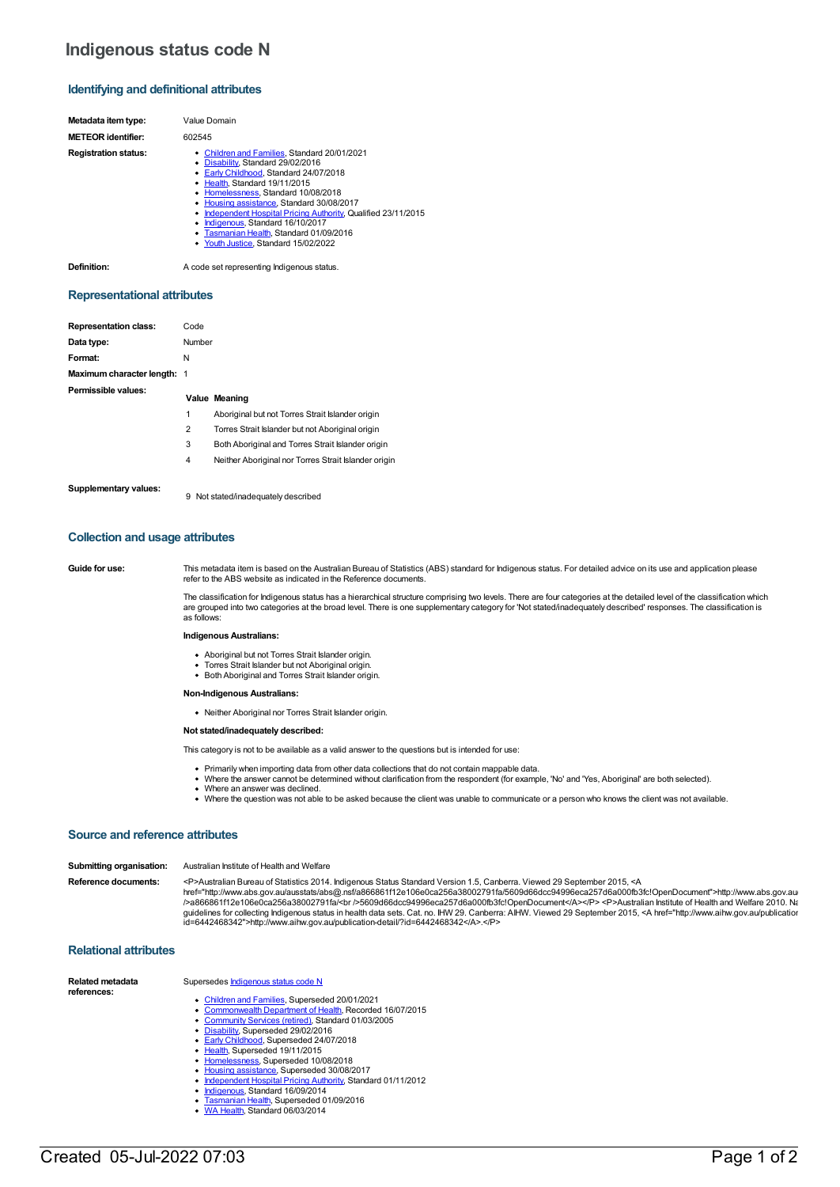# **Indigenous status code N**

## **Identifying and definitional attributes**

| Metadata item type:         | Value Domain                                                                                                                                                                                                                                                                                                                                                                                                                               |
|-----------------------------|--------------------------------------------------------------------------------------------------------------------------------------------------------------------------------------------------------------------------------------------------------------------------------------------------------------------------------------------------------------------------------------------------------------------------------------------|
| <b>METEOR</b> identifier:   | 602545                                                                                                                                                                                                                                                                                                                                                                                                                                     |
| <b>Registration status:</b> | • Children and Families, Standard 20/01/2021<br>• Disability, Standard 29/02/2016<br>• Early Childhood, Standard 24/07/2018<br>• Health, Standard 19/11/2015<br>• Homelessness, Standard 10/08/2018<br>• Housing assistance, Standard 30/08/2017<br>• Independent Hospital Pricing Authority, Qualified 23/11/2015<br>• Indigenous, Standard 16/10/2017<br>• Tasmanian Health, Standard 01/09/2016<br>• Youth Justice, Standard 15/02/2022 |

**Definition:** A code set representing Indigenous status.

#### **Representational attributes**

| <b>Representation class:</b> | Code           |                                                      |
|------------------------------|----------------|------------------------------------------------------|
| Data type:                   | Number         |                                                      |
| Format:                      | N              |                                                      |
| Maximum character length: 1  |                |                                                      |
| Permissible values:          |                | Value Meaning                                        |
|                              | 1              | Aboriginal but not Torres Strait Islander origin     |
|                              | $\overline{2}$ | Torres Strait Islander but not Aboriginal origin     |
|                              | 3              | Both Aboriginal and Torres Strait Islander origin    |
|                              | 4              | Neither Aboriginal nor Torres Strait Islander origin |
| Supplementary values:        | 9              | Not stated/inadequately described                    |

### **Collection and usage attributes**

Guide for use: This metadata item is based on the Australian Bureau of Statistics (ABS) standard for Indigenous status. For detailed advice on its use and application please refer to the ABS website as indicated in the Reference documents.

> The classification for Indigenous status has a hierarchical structure comprising two levels. There are four categories at the detailed level of the classification which are grouped into two categories at the broad level. There is one supplementary category for 'Not stated/inadequately described' responses. The classification is as follows:

#### **Indigenous Australians:**

- 
- Aboriginal but not Torres Strait Islander origin.<br>Torres Strait Islander but not Aboriginal origin. • Both Aboriginal and Torres Strait Islander origin.

**Non-Indigenous Australians:**

Neither Aboriginal nor Torres Strait Islander origin.

## **Not stated/inadequately described:**

This category is not to be available as a valid answer to the questions but is intended for use:

- Primarily when importing data from other data collections that do not contain mappable data.
- Where the answer cannot be determined without clarification from the respondent (for example, 'No' and 'Yes, Aboriginal' are both selected).
- Where an answer was declined.
- Where the question was not able to be asked because the client was unable to communicate or a person who knows the client was not available.

## **Source and reference attributes**

| Submitting organisation: | Australian Institute of Health and Welfare                                                                                                                                                                                                                                                                                                                                                                                                                                                                                                                                                                                                                                                                              |
|--------------------------|-------------------------------------------------------------------------------------------------------------------------------------------------------------------------------------------------------------------------------------------------------------------------------------------------------------------------------------------------------------------------------------------------------------------------------------------------------------------------------------------------------------------------------------------------------------------------------------------------------------------------------------------------------------------------------------------------------------------------|
| Reference documents:     | <p>Australian Bureau of Statistics 2014. Indigenous Status Standard Version 1.5, Canberra. Viewed 29 September 2015, <a<br>href="http://www.abs.gov.au/ausstats/abs@.nsf/a866861f12e106e0ca256a38002791fa/5609d66dcc94996eca257d6a000fb3fc!OpenDocument"&gt;http://www.abs.gov.au/<br/>/&gt;a866861f12e106e0ca256a38002791fa/<br/>5609d66dcc94996eca257d6a000fb3fc!OpenDocument</a<br></p> <p>Australian Institute of Health and Welfare 2010. Na<br/>guidelines for collecting Indigenous status in health data sets. Cat. no. IHW 29. Canberra: AIHW. Viewed 29 September 2015, <a href="http://www.aihw.gov.au/publicatior&lt;br&gt;id=6442468342">http://www.aihw.gov.au/publication-detail/?id=6442468342</a>.</p> |

## **Relational attributes**

| Related metadata<br>references: | Supersedes Indigenous status code N                           |  |  |  |
|---------------------------------|---------------------------------------------------------------|--|--|--|
|                                 | • Children and Families, Superseded 20/01/2021                |  |  |  |
|                                 | • Commonwealth Department of Health, Recorded 16/07/2015      |  |  |  |
|                                 | • Community Services (retired), Standard 01/03/2005           |  |  |  |
|                                 | • Disability, Superseded 29/02/2016                           |  |  |  |
|                                 | • Early Childhood, Superseded 24/07/2018                      |  |  |  |
|                                 | • Health, Superseded 19/11/2015                               |  |  |  |
|                                 | • Homelessness, Superseded 10/08/2018                         |  |  |  |
|                                 | • Housing assistance, Superseded 30/08/2017                   |  |  |  |
|                                 | • Independent Hospital Pricing Authority, Standard 01/11/2012 |  |  |  |
|                                 | • Indigenous, Standard 16/09/2014                             |  |  |  |
|                                 | • Tasmanian Health, Superseded 01/09/2016                     |  |  |  |
|                                 | • WA Health, Standard 06/03/2014                              |  |  |  |

- -